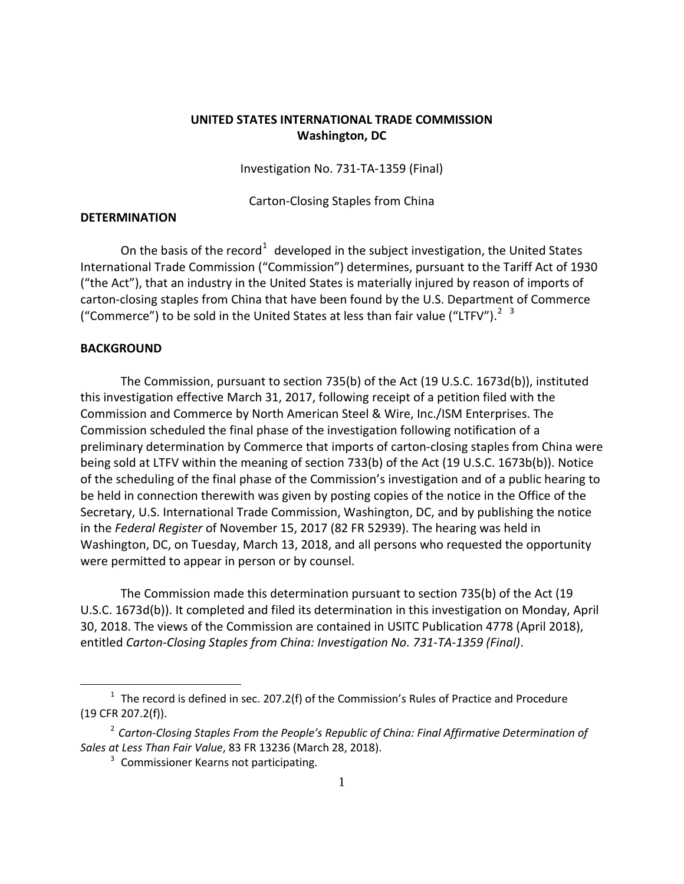## **UNITED STATES INTERNATIONAL TRADE COMMISSION Washington, DC**

Investigation No. 731-TA-1359 (Final)

Carton-Closing Staples from China

## **DETERMINATION**

On the basis of the record<sup>[1](#page-0-0)</sup> developed in the subject investigation, the United States International Trade Commission ("Commission") determines, pursuant to the Tariff Act of 1930 ("the Act"), that an industry in the United States is materially injured by reason of imports of carton-closing staples from China that have been found by the U.S. Department of Commerce ("Commerce") to be sold in the United States at less than fair value ("LTFV").<sup>[2](#page-0-1)</sup> <sup>[3](#page-0-2)</sup>

## **BACKGROUND**

 $\overline{a}$ 

The Commission, pursuant to section 735(b) of the Act (19 U.S.C. 1673d(b)), instituted this investigation effective March 31, 2017, following receipt of a petition filed with the Commission and Commerce by North American Steel & Wire, Inc./ISM Enterprises. The Commission scheduled the final phase of the investigation following notification of a preliminary determination by Commerce that imports of carton-closing staples from China were being sold at LTFV within the meaning of section 733(b) of the Act (19 U.S.C. 1673b(b)). Notice of the scheduling of the final phase of the Commission's investigation and of a public hearing to be held in connection therewith was given by posting copies of the notice in the Office of the Secretary, U.S. International Trade Commission, Washington, DC, and by publishing the notice in the *Federal Register* of November 15, 2017 (82 FR 52939). The hearing was held in Washington, DC, on Tuesday, March 13, 2018, and all persons who requested the opportunity were permitted to appear in person or by counsel.

The Commission made this determination pursuant to section 735(b) of the Act (19 U.S.C. 1673d(b)). It completed and filed its determination in this investigation on Monday, April 30, 2018. The views of the Commission are contained in USITC Publication 4778 (April 2018), entitled *Carton-Closing Staples from China: Investigation No. 731-TA-1359 (Final)*.

<span id="page-0-0"></span> $1$  The record is defined in sec. 207.2(f) of the Commission's Rules of Practice and Procedure (19 CFR 207.2(f)).

<span id="page-0-2"></span><span id="page-0-1"></span><sup>2</sup> *Carton-Closing Staples From the People's Republic of China: Final Affirmative Determination of Sales at Less Than Fair Value*, 83 FR 13236 (March 28, 2018).

 $3$  Commissioner Kearns not participating.